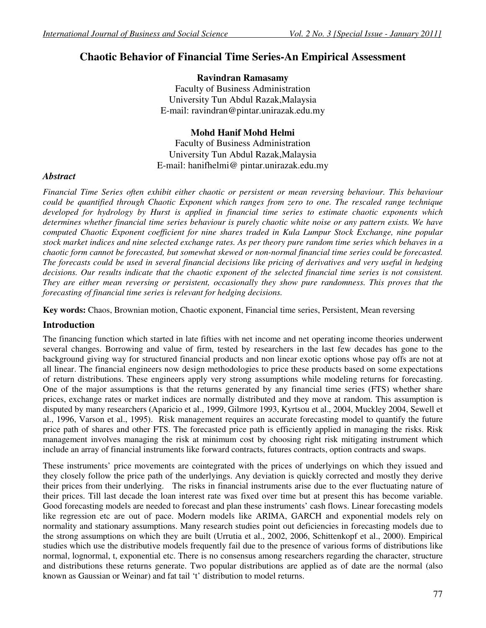# **Chaotic Behavior of Financial Time Series-An Empirical Assessment**

## **Ravindran Ramasamy**

Faculty of Business Administration University Tun Abdul Razak,Malaysia E-mail: ravindran@pintar.unirazak.edu.my

## **Mohd Hanif Mohd Helmi**

Faculty of Business Administration University Tun Abdul Razak,Malaysia E-mail: hanifhelmi@ pintar.unirazak.edu.my

#### *Abstract*

*Financial Time Series often exhibit either chaotic or persistent or mean reversing behaviour. This behaviour could be quantified through Chaotic Exponent which ranges from zero to one. The rescaled range technique developed for hydrology by Hurst is applied in financial time series to estimate chaotic exponents which determines whether financial time series behaviour is purely chaotic white noise or any pattern exists. We have computed Chaotic Exponent coefficient for nine shares traded in Kula Lumpur Stock Exchange, nine popular stock market indices and nine selected exchange rates. As per theory pure random time series which behaves in a chaotic form cannot be forecasted, but somewhat skewed or non-normal financial time series could be forecasted. The forecasts could be used in several financial decisions like pricing of derivatives and very useful in hedging decisions. Our results indicate that the chaotic exponent of the selected financial time series is not consistent. They are either mean reversing or persistent, occasionally they show pure randomness. This proves that the forecasting of financial time series is relevant for hedging decisions.* 

**Key words:** Chaos, Brownian motion, Chaotic exponent, Financial time series, Persistent, Mean reversing

## **Introduction**

The financing function which started in late fifties with net income and net operating income theories underwent several changes. Borrowing and value of firm, tested by researchers in the last few decades has gone to the background giving way for structured financial products and non linear exotic options whose pay offs are not at all linear. The financial engineers now design methodologies to price these products based on some expectations of return distributions. These engineers apply very strong assumptions while modeling returns for forecasting. One of the major assumptions is that the returns generated by any financial time series (FTS) whether share prices, exchange rates or market indices are normally distributed and they move at random. This assumption is disputed by many researchers (Aparicio et al., 1999, Gilmore 1993, Kyrtsou et al., 2004, Muckley 2004, Sewell et al., 1996, Varson et al., 1995). Risk management requires an accurate forecasting model to quantify the future price path of shares and other FTS. The forecasted price path is efficiently applied in managing the risks. Risk management involves managing the risk at minimum cost by choosing right risk mitigating instrument which include an array of financial instruments like forward contracts, futures contracts, option contracts and swaps.

These instruments' price movements are cointegrated with the prices of underlyings on which they issued and they closely follow the price path of the underlyings. Any deviation is quickly corrected and mostly they derive their prices from their underlying. The risks in financial instruments arise due to the ever fluctuating nature of their prices. Till last decade the loan interest rate was fixed over time but at present this has become variable. Good forecasting models are needed to forecast and plan these instruments' cash flows. Linear forecasting models like regression etc are out of pace. Modern models like ARIMA, GARCH and exponential models rely on normality and stationary assumptions. Many research studies point out deficiencies in forecasting models due to the strong assumptions on which they are built (Urrutia et al., 2002, 2006, Schittenkopf et al., 2000). Empirical studies which use the distributive models frequently fail due to the presence of various forms of distributions like normal, lognormal, t, exponential etc. There is no consensus among researchers regarding the character, structure and distributions these returns generate. Two popular distributions are applied as of date are the normal (also known as Gaussian or Weinar) and fat tail 't' distribution to model returns.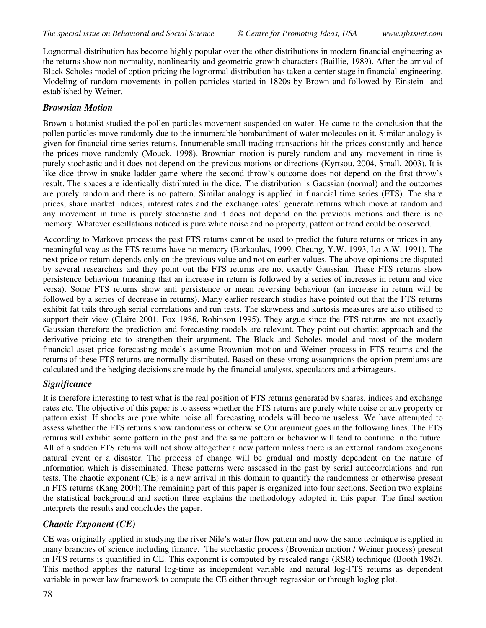Lognormal distribution has become highly popular over the other distributions in modern financial engineering as the returns show non normality, nonlinearity and geometric growth characters (Baillie, 1989). After the arrival of Black Scholes model of option pricing the lognormal distribution has taken a center stage in financial engineering. Modeling of random movements in pollen particles started in 1820s by Brown and followed by Einstein and established by Weiner.

## *Brownian Motion*

Brown a botanist studied the pollen particles movement suspended on water. He came to the conclusion that the pollen particles move randomly due to the innumerable bombardment of water molecules on it. Similar analogy is given for financial time series returns. Innumerable small trading transactions hit the prices constantly and hence the prices move randomly (Mouck, 1998). Brownian motion is purely random and any movement in time is purely stochastic and it does not depend on the previous motions or directions (Kyrtsou, 2004, Small, 2003). It is like dice throw in snake ladder game where the second throw's outcome does not depend on the first throw's result. The spaces are identically distributed in the dice. The distribution is Gaussian (normal) and the outcomes are purely random and there is no pattern. Similar analogy is applied in financial time series (FTS). The share prices, share market indices, interest rates and the exchange rates' generate returns which move at random and any movement in time is purely stochastic and it does not depend on the previous motions and there is no memory. Whatever oscillations noticed is pure white noise and no property, pattern or trend could be observed.

According to Markove process the past FTS returns cannot be used to predict the future returns or prices in any meaningful way as the FTS returns have no memory (Barkoulas, 1999, Cheung, Y.W. 1993, Lo A.W. 1991). The next price or return depends only on the previous value and not on earlier values. The above opinions are disputed by several researchers and they point out the FTS returns are not exactly Gaussian. These FTS returns show persistence behaviour (meaning that an increase in return is followed by a series of increases in return and vice versa). Some FTS returns show anti persistence or mean reversing behaviour (an increase in return will be followed by a series of decrease in returns). Many earlier research studies have pointed out that the FTS returns exhibit fat tails through serial correlations and run tests. The skewness and kurtosis measures are also utilised to support their view (Claire 2001, Fox 1986, Robinson 1995). They argue since the FTS returns are not exactly Gaussian therefore the prediction and forecasting models are relevant. They point out chartist approach and the derivative pricing etc to strengthen their argument. The Black and Scholes model and most of the modern financial asset price forecasting models assume Brownian motion and Weiner process in FTS returns and the returns of these FTS returns are normally distributed. Based on these strong assumptions the option premiums are calculated and the hedging decisions are made by the financial analysts, speculators and arbitrageurs.

## *Significance*

It is therefore interesting to test what is the real position of FTS returns generated by shares, indices and exchange rates etc. The objective of this paper is to assess whether the FTS returns are purely white noise or any property or pattern exist. If shocks are pure white noise all forecasting models will become useless. We have attempted to assess whether the FTS returns show randomness or otherwise.Our argument goes in the following lines. The FTS returns will exhibit some pattern in the past and the same pattern or behavior will tend to continue in the future. All of a sudden FTS returns will not show altogether a new pattern unless there is an external random exogenous natural event or a disaster. The process of change will be gradual and mostly dependent on the nature of information which is disseminated. These patterns were assessed in the past by serial autocorrelations and run tests. The chaotic exponent (CE) is a new arrival in this domain to quantify the randomness or otherwise present in FTS returns (Kang 2004).The remaining part of this paper is organized into four sections. Section two explains the statistical background and section three explains the methodology adopted in this paper. The final section interprets the results and concludes the paper.

## *Chaotic Exponent (CE)*

CE was originally applied in studying the river Nile's water flow pattern and now the same technique is applied in many branches of science including finance. The stochastic process (Brownian motion / Weiner process) present in FTS returns is quantified in CE. This exponent is computed by rescaled range (RSR) technique (Booth 1982). This method applies the natural log-time as independent variable and natural log-FTS returns as dependent variable in power law framework to compute the CE either through regression or through loglog plot.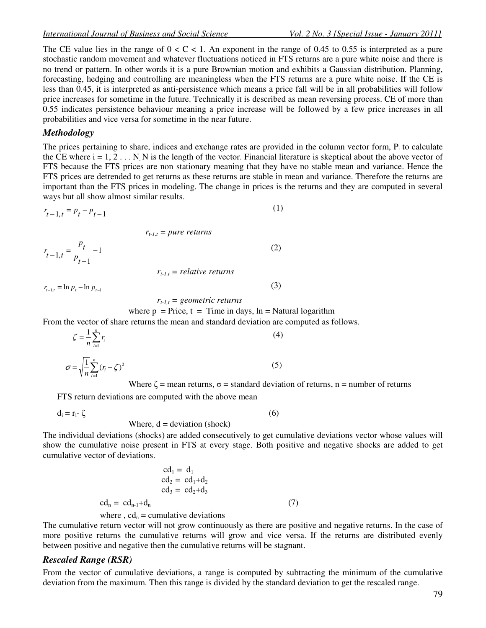The CE value lies in the range of  $0 < C < 1$ . An exponent in the range of 0.45 to 0.55 is interpreted as a pure stochastic random movement and whatever fluctuations noticed in FTS returns are a pure white noise and there is no trend or pattern. In other words it is a pure Brownian motion and exhibits a Gaussian distribution. Planning, forecasting, hedging and controlling are meaningless when the FTS returns are a pure white noise. If the CE is less than 0.45, it is interpreted as anti-persistence which means a price fall will be in all probabilities will follow price increases for sometime in the future. Technically it is described as mean reversing process. CE of more than 0.55 indicates persistence behaviour meaning a price increase will be followed by a few price increases in all probabilities and vice versa for sometime in the near future.

#### *Methodology*

The prices pertaining to share, indices and exchange rates are provided in the column vector form,  $P_i$  to calculate the CE where  $i = 1, 2, \ldots$  N. N is the length of the vector. Financial literature is skeptical about the above vector of FTS because the FTS prices are non stationary meaning that they have no stable mean and variance. Hence the FTS prices are detrended to get returns as these returns are stable in mean and variance. Therefore the returns are important than the FTS prices in modeling. The change in prices is the returns and they are computed in several ways but all show almost similar results.

$$
r_{t-1,t} = p_t - p_{t-1} \tag{1}
$$

$$
r_{t-1,t} = pure \ returns
$$
  

$$
r_{t-1,t} = \frac{p_t}{p_{t-1}} - 1
$$
 (2)

 $r_{t-1,t}$  = *relative returns* 

 $r_{t-1,t} = \ln p_t - \ln p_{t-1}$  (3)

$$
r_{t-1,t} = geometric \ returns
$$

where  $p = Price$ ,  $t = Time$  in days,  $ln = Natural logarithm$ 

From the vector of share returns the mean and standard deviation are computed as follows.

$$
\zeta = \frac{1}{n} \sum_{i=1}^{n} r_i
$$
\n
$$
\sigma = \sqrt{\frac{1}{n} \sum_{i=1}^{n} (r_i - \zeta)^2}
$$
\n(4)

Where  $\zeta$  = mean returns,  $\sigma$  = standard deviation of returns, n = number of returns

FTS return deviations are computed with the above mean

 $d_i = r_i - \zeta$  (6)

#### Where,  $d = deviation(shock)$

The individual deviations (shocks) are added consecutively to get cumulative deviations vector whose values will show the cumulative noise present in FTS at every stage. Both positive and negative shocks are added to get cumulative vector of deviations.

$$
cd1 = d1
$$
  
\n
$$
cd2 = cd1+d2
$$
  
\n
$$
cd3 = cd2+d3
$$
  
\n
$$
cdn = cdn-1+dn
$$
 (7)  
\nwhere, cd<sub>n</sub> = cumulative deviations

The cumulative return vector will not grow continuously as there are positive and negative returns. In the case of more positive returns the cumulative returns will grow and vice versa. If the returns are distributed evenly between positive and negative then the cumulative returns will be stagnant.

#### *Rescaled Range (RSR)*

From the vector of cumulative deviations, a range is computed by subtracting the minimum of the cumulative deviation from the maximum. Then this range is divided by the standard deviation to get the rescaled range.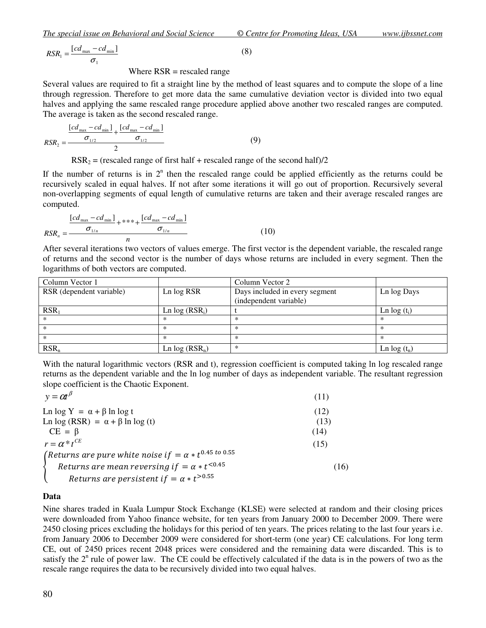$$
RSR_1 = \frac{[cd_{\text{max}} - cd_{\text{min}}]}{\sigma_1}
$$
 (8)

Where  $RSR$  = rescaled range

Several values are required to fit a straight line by the method of least squares and to compute the slope of a line through regression. Therefore to get more data the same cumulative deviation vector is divided into two equal halves and applying the same rescaled range procedure applied above another two rescaled ranges are computed. The average is taken as the second rescaled range.

$$
RSR_2 = \frac{\frac{[cd_{\text{max}} - cd_{\text{min}}]}{\sigma_{1/2}} + \frac{[cd_{\text{max}} - cd_{\text{min}}]}{\sigma_{1/2}}}{2}
$$
(9)

 $RSR<sub>2</sub> = (rescaled range of first half + rescaled range of the second half)/2$ 

If the number of returns is in  $2<sup>n</sup>$  then the rescaled range could be applied efficiently as the returns could be recursively scaled in equal halves. If not after some iterations it will go out of proportion. Recursively several non-overlapping segments of equal length of cumulative returns are taken and their average rescaled ranges are computed.

$$
RSR_n = \frac{\frac{[cd_{\text{max}} - cd_{\text{min}}]}{\sigma_{1/n}} + *** + \frac{[cd_{\text{max}} - cd_{\text{min}}]}{\sigma_{1/n}}}{n}
$$
(10)

After several iterations two vectors of values emerge. The first vector is the dependent variable, the rescaled range of returns and the second vector is the number of days whose returns are included in every segment. Then the logarithms of both vectors are computed.

| Column Vector 1          |                  | Column Vector 2                |               |
|--------------------------|------------------|--------------------------------|---------------|
| RSR (dependent variable) | Ln log RSR       | Days included in every segment | Ln log Days   |
|                          |                  | (independent variable)         |               |
| $RSR_1$                  | Ln $log (RSR_i)$ |                                | Ln $log(t_i)$ |
| $\ast$                   | ×                | $\ast$                         | ∗             |
| $\ast$                   |                  |                                |               |
| $^{\ast}$                |                  | $\ast$                         |               |
| $RSR_n$                  | Ln $log (RSR_n)$ | $\ast$                         | Ln $log(t_n)$ |

With the natural logarithmic vectors (RSR and t), regression coefficient is computed taking ln log rescaled range returns as the dependent variable and the ln log number of days as independent variable. The resultant regression slope coefficient is the Chaotic Exponent.

| $y = \alpha t^{\beta}$                                           | (11) |
|------------------------------------------------------------------|------|
| Ln $\log Y = \alpha + \beta \ln \log t$                          | (12) |
| Ln log (RSR) = $\alpha + \beta \ln \log(t)$                      | (13) |
| $CE = \beta$                                                     | (14) |
| $r = \alpha * t^{CE}$                                            | (15) |
| (Returns are pure white noise if $= \alpha * t^{0.45 t^{0.055}}$ |      |
| Returns are mean reversing if $= \alpha * t^{\leq 0.45}$         | (16) |
| Returns are persistent if $= \alpha * t^{>0.55}$                 |      |
|                                                                  |      |

#### **Data**

Nine shares traded in Kuala Lumpur Stock Exchange (KLSE) were selected at random and their closing prices were downloaded from Yahoo finance website, for ten years from January 2000 to December 2009. There were 2450 closing prices excluding the holidays for this period of ten years. The prices relating to the last four years i.e. from January 2006 to December 2009 were considered for short-term (one year) CE calculations. For long term CE, out of 2450 prices recent 2048 prices were considered and the remaining data were discarded. This is to satisfy the  $2<sup>n</sup>$  rule of power law. The CE could be effectively calculated if the data is in the powers of two as the rescale range requires the data to be recursively divided into two equal halves.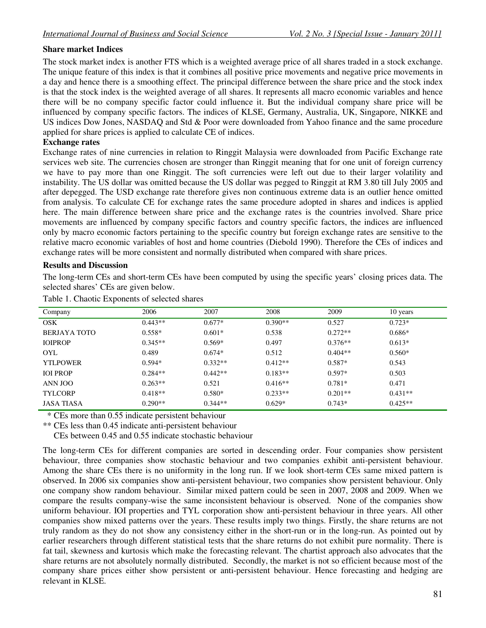#### **Share market Indices**

The stock market index is another FTS which is a weighted average price of all shares traded in a stock exchange. The unique feature of this index is that it combines all positive price movements and negative price movements in a day and hence there is a smoothing effect. The principal difference between the share price and the stock index is that the stock index is the weighted average of all shares. It represents all macro economic variables and hence there will be no company specific factor could influence it. But the individual company share price will be influenced by company specific factors. The indices of KLSE, Germany, Australia, UK, Singapore, NIKKE and US indices Dow Jones, NASDAQ and Std & Poor were downloaded from Yahoo finance and the same procedure applied for share prices is applied to calculate CE of indices.

#### **Exchange rates**

Exchange rates of nine currencies in relation to Ringgit Malaysia were downloaded from Pacific Exchange rate services web site. The currencies chosen are stronger than Ringgit meaning that for one unit of foreign currency we have to pay more than one Ringgit. The soft currencies were left out due to their larger volatility and instability. The US dollar was omitted because the US dollar was pegged to Ringgit at RM 3.80 till July 2005 and after depegged. The USD exchange rate therefore gives non continuous extreme data is an outlier hence omitted from analysis. To calculate CE for exchange rates the same procedure adopted in shares and indices is applied here. The main difference between share price and the exchange rates is the countries involved. Share price movements are influenced by company specific factors and country specific factors, the indices are influenced only by macro economic factors pertaining to the specific country but foreign exchange rates are sensitive to the relative macro economic variables of host and home countries (Diebold 1990). Therefore the CEs of indices and exchange rates will be more consistent and normally distributed when compared with share prices.

#### **Results and Discussion**

The long-term CEs and short-term CEs have been computed by using the specific years' closing prices data. The selected shares' CEs are given below.

| Company         | 2006      | 2007      | 2008      | 2009      | 10 years  |
|-----------------|-----------|-----------|-----------|-----------|-----------|
| <b>OSK</b>      | $0.443**$ | $0.677*$  | $0.390**$ | 0.527     | $0.723*$  |
| BERJAYA TOTO    | $0.558*$  | $0.601*$  | 0.538     | $0.272**$ | $0.686*$  |
| <b>IOIPROP</b>  | $0.345**$ | $0.569*$  | 0.497     | $0.376**$ | $0.613*$  |
| <b>OYL</b>      | 0.489     | $0.674*$  | 0.512     | $0.404**$ | $0.560*$  |
| <b>YTLPOWER</b> | $0.594*$  | $0.332**$ | $0.412**$ | $0.587*$  | 0.543     |
| <b>IOI PROP</b> | $0.284**$ | $0.442**$ | $0.183**$ | $0.597*$  | 0.503     |
| ANN JOO         | $0.263**$ | 0.521     | $0.416**$ | $0.781*$  | 0.471     |
| <b>TYLCORP</b>  | $0.418**$ | $0.580*$  | $0.233**$ | $0.201**$ | $0.431**$ |
| JASA TIASA      | $0.290**$ | $0.344**$ | $0.629*$  | $0.743*$  | $0.425**$ |

Table 1. Chaotic Exponents of selected shares

\* CEs more than 0.55 indicate persistent behaviour

\*\* CEs less than 0.45 indicate anti-persistent behaviour

CEs between 0.45 and 0.55 indicate stochastic behaviour

The long-term CEs for different companies are sorted in descending order. Four companies show persistent behaviour, three companies show stochastic behaviour and two companies exhibit anti-persistent behaviour. Among the share CEs there is no uniformity in the long run. If we look short-term CEs same mixed pattern is observed. In 2006 six companies show anti-persistent behaviour, two companies show persistent behaviour. Only one company show random behaviour. Similar mixed pattern could be seen in 2007, 2008 and 2009. When we compare the results company-wise the same inconsistent behaviour is observed. None of the companies show uniform behaviour. IOI properties and TYL corporation show anti-persistent behaviour in three years. All other companies show mixed patterns over the years. These results imply two things. Firstly, the share returns are not truly random as they do not show any consistency either in the short-run or in the long-run. As pointed out by earlier researchers through different statistical tests that the share returns do not exhibit pure normality. There is fat tail, skewness and kurtosis which make the forecasting relevant. The chartist approach also advocates that the share returns are not absolutely normally distributed. Secondly, the market is not so efficient because most of the company share prices either show persistent or anti-persistent behaviour. Hence forecasting and hedging are relevant in KLSE.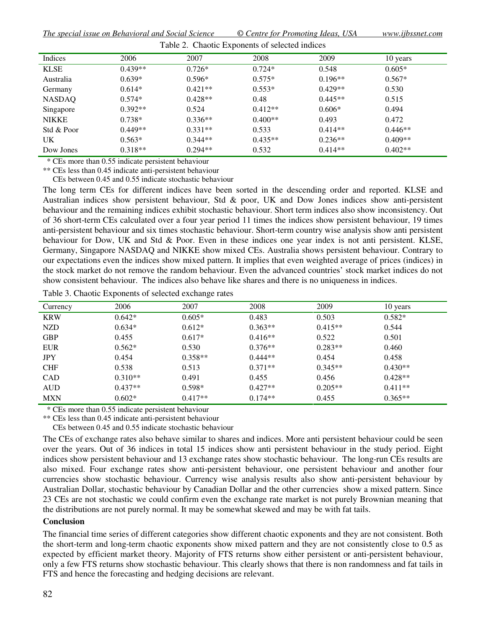*The special issue on Behavioral and Social Science © Centre for Promoting Ideas, USA www.ijbssnet.com*  $T_{\rm eff}$   $\sim$   $\Omega_{\rm eff}$   $\sim$   $\Omega_{\rm eff}$   $\sim$   $\Omega_{\rm eff}$  in  $\Omega_{\rm eff}$  in directed in directed in  $\Omega_{\rm eff}$ 

| <b>Table 2. Chaotic Exponents of selected indices</b> |           |           |           |           |           |  |
|-------------------------------------------------------|-----------|-----------|-----------|-----------|-----------|--|
| Indices                                               | 2006      | 2007      | 2008      | 2009      | 10 years  |  |
| <b>KLSE</b>                                           | $0.439**$ | $0.726*$  | $0.724*$  | 0.548     | $0.605*$  |  |
| Australia                                             | $0.639*$  | $0.596*$  | $0.575*$  | $0.196**$ | $0.567*$  |  |
| Germany                                               | $0.614*$  | $0.421**$ | $0.553*$  | $0.429**$ | 0.530     |  |
| <b>NASDAQ</b>                                         | $0.574*$  | $0.428**$ | 0.48      | $0.445**$ | 0.515     |  |
| Singapore                                             | $0.392**$ | 0.524     | $0.412**$ | $0.606*$  | 0.494     |  |
| <b>NIKKE</b>                                          | $0.738*$  | $0.336**$ | $0.400**$ | 0.493     | 0.472     |  |
| Std & Poor                                            | $0.449**$ | $0.331**$ | 0.533     | $0.414**$ | $0.446**$ |  |
| UK.                                                   | $0.563*$  | $0.344**$ | $0.435**$ | $0.236**$ | $0.409**$ |  |
| Dow Jones                                             | $0.318**$ | $0.294**$ | 0.532     | $0.414**$ | $0.402**$ |  |

\* CEs more than 0.55 indicate persistent behaviour

\*\* CEs less than 0.45 indicate anti-persistent behaviour CEs between 0.45 and 0.55 indicate stochastic behaviour

The long term CEs for different indices have been sorted in the descending order and reported. KLSE and Australian indices show persistent behaviour, Std & poor, UK and Dow Jones indices show anti-persistent behaviour and the remaining indices exhibit stochastic behaviour. Short term indices also show inconsistency. Out of 36 short-term CEs calculated over a four year period 11 times the indices show persistent behaviour, 19 times anti-persistent behaviour and six times stochastic behaviour. Short-term country wise analysis show anti persistent behaviour for Dow, UK and Std & Poor. Even in these indices one year index is not anti persistent. KLSE, Germany, Singapore NASDAQ and NIKKE show mixed CEs. Australia shows persistent behaviour. Contrary to our expectations even the indices show mixed pattern. It implies that even weighted average of prices (indices) in the stock market do not remove the random behaviour. Even the advanced countries' stock market indices do not show consistent behaviour. The indices also behave like shares and there is no uniqueness in indices.

Table 3. Chaotic Exponents of selected exchange rates

| Currency   | 2006      | 2007      | 2008      | 2009      | 10 years  |
|------------|-----------|-----------|-----------|-----------|-----------|
| <b>KRW</b> | $0.642*$  | $0.605*$  | 0.483     | 0.503     | $0.582*$  |
| NZD        | $0.634*$  | $0.612*$  | $0.363**$ | $0.415**$ | 0.544     |
| <b>GBP</b> | 0.455     | $0.617*$  | $0.416**$ | 0.522     | 0.501     |
| <b>EUR</b> | $0.562*$  | 0.530     | $0.376**$ | $0.283**$ | 0.460     |
| <b>JPY</b> | 0.454     | $0.358**$ | $0.444**$ | 0.454     | 0.458     |
| <b>CHF</b> | 0.538     | 0.513     | $0.371**$ | $0.345**$ | $0.430**$ |
| <b>CAD</b> | $0.310**$ | 0.491     | 0.455     | 0.456     | $0.428**$ |
| <b>AUD</b> | $0.437**$ | $0.598*$  | $0.427**$ | $0.205**$ | $0.411**$ |
| <b>MXN</b> | $0.602*$  | $0.417**$ | $0.174**$ | 0.455     | $0.365**$ |

\* CEs more than 0.55 indicate persistent behaviour

\*\* CEs less than 0.45 indicate anti-persistent behaviour

CEs between 0.45 and 0.55 indicate stochastic behaviour

The CEs of exchange rates also behave similar to shares and indices. More anti persistent behaviour could be seen over the years. Out of 36 indices in total 15 indices show anti persistent behaviour in the study period. Eight indices show persistent behaviour and 13 exchange rates show stochastic behaviour. The long-run CEs results are also mixed. Four exchange rates show anti-persistent behaviour, one persistent behaviour and another four currencies show stochastic behaviour. Currency wise analysis results also show anti-persistent behaviour by Australian Dollar, stochastic behaviour by Canadian Dollar and the other currencies show a mixed pattern. Since 23 CEs are not stochastic we could confirm even the exchange rate market is not purely Brownian meaning that the distributions are not purely normal. It may be somewhat skewed and may be with fat tails.

#### **Conclusion**

The financial time series of different categories show different chaotic exponents and they are not consistent. Both the short-term and long-term chaotic exponents show mixed pattern and they are not consistently close to 0.5 as expected by efficient market theory. Majority of FTS returns show either persistent or anti-persistent behaviour, only a few FTS returns show stochastic behaviour. This clearly shows that there is non randomness and fat tails in FTS and hence the forecasting and hedging decisions are relevant.